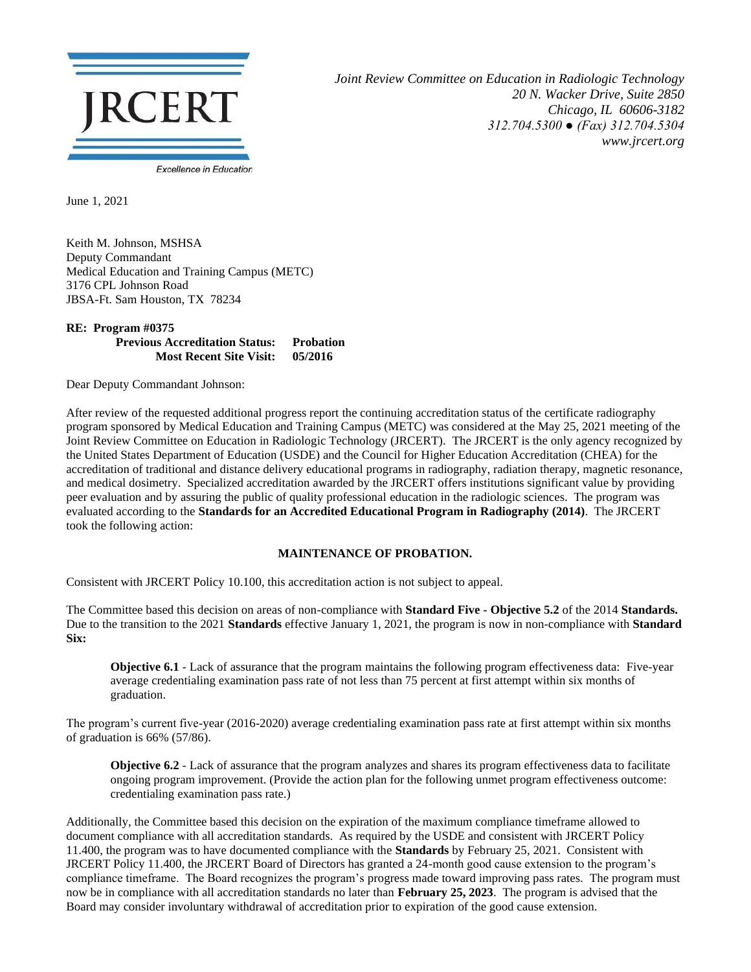

*Joint Review Committee on Education in Radiologic Technology 20 N. Wacker Drive, Suite 2850 Chicago, IL 60606-3182 312.704.5300 ● (Fax) 312.704.5304 www.jrcert.org*

June 1, 2021

Keith M. Johnson, MSHSA Deputy Commandant Medical Education and Training Campus (METC) 3176 CPL Johnson Road JBSA-Ft. Sam Houston, TX 78234

## **RE: Program #0375 Previous Accreditation Status: Probation Most Recent Site Visit: 05/2016**

Dear Deputy Commandant Johnson:

After review of the requested additional progress report the continuing accreditation status of the certificate radiography program sponsored by Medical Education and Training Campus (METC) was considered at the May 25, 2021 meeting of the Joint Review Committee on Education in Radiologic Technology (JRCERT). The JRCERT is the only agency recognized by the United States Department of Education (USDE) and the Council for Higher Education Accreditation (CHEA) for the accreditation of traditional and distance delivery educational programs in radiography, radiation therapy, magnetic resonance, and medical dosimetry. Specialized accreditation awarded by the JRCERT offers institutions significant value by providing peer evaluation and by assuring the public of quality professional education in the radiologic sciences. The program was evaluated according to the **Standards for an Accredited Educational Program in Radiography (2014)**. The JRCERT took the following action:

## **MAINTENANCE OF PROBATION.**

Consistent with JRCERT Policy 10.100, this accreditation action is not subject to appeal.

The Committee based this decision on areas of non-compliance with **Standard Five - Objective 5.2** of the 2014 **Standards.**  Due to the transition to the 2021 **Standards** effective January 1, 2021, the program is now in non-compliance with **Standard Six:**

**Objective 6.1** - Lack of assurance that the program maintains the following program effectiveness data: Five-year average credentialing examination pass rate of not less than 75 percent at first attempt within six months of graduation.

The program's current five-year (2016-2020) average credentialing examination pass rate at first attempt within six months of graduation is 66% (57/86).

**Objective 6.2** - Lack of assurance that the program analyzes and shares its program effectiveness data to facilitate ongoing program improvement. (Provide the action plan for the following unmet program effectiveness outcome: credentialing examination pass rate.)

Additionally, the Committee based this decision on the expiration of the maximum compliance timeframe allowed to document compliance with all accreditation standards. As required by the USDE and consistent with JRCERT Policy 11.400, the program was to have documented compliance with the **Standards** by February 25, 2021. Consistent with JRCERT Policy 11.400, the JRCERT Board of Directors has granted a 24-month good cause extension to the program's compliance timeframe. The Board recognizes the program's progress made toward improving pass rates. The program must now be in compliance with all accreditation standards no later than **February 25, 2023**. The program is advised that the Board may consider involuntary withdrawal of accreditation prior to expiration of the good cause extension.